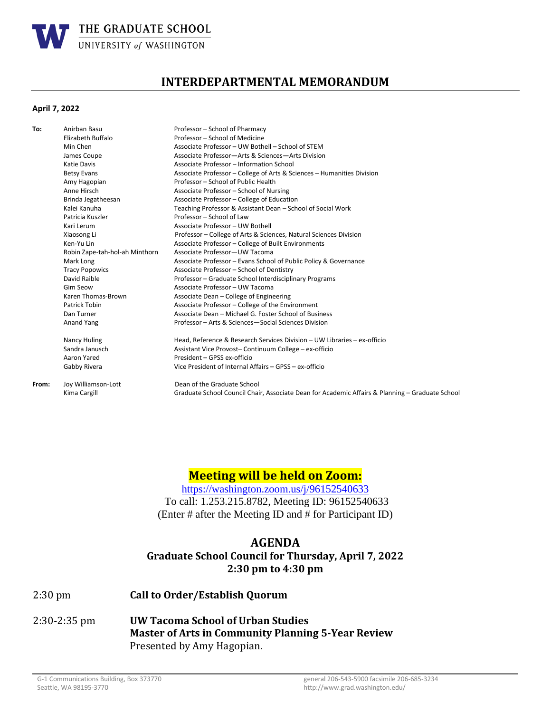

# **INTERDEPARTMENTAL MEMORANDUM**

#### **April 7, 2022**

| To:   | Anirban Basu                   | Professor - School of Pharmacy                                                                  |
|-------|--------------------------------|-------------------------------------------------------------------------------------------------|
|       | Elizabeth Buffalo              | Professor - School of Medicine                                                                  |
|       | Min Chen                       | Associate Professor - UW Bothell - School of STEM                                               |
|       | James Coupe                    | Associate Professor-Arts & Sciences-Arts Division                                               |
|       | Katie Davis                    | Associate Professor - Information School                                                        |
|       | <b>Betsy Evans</b>             | Associate Professor - College of Arts & Sciences - Humanities Division                          |
|       | Amy Hagopian                   | Professor - School of Public Health                                                             |
|       | Anne Hirsch                    | Associate Professor - School of Nursing                                                         |
|       | Brinda Jegatheesan             | Associate Professor - College of Education                                                      |
|       | Kalei Kanuha                   | Teaching Professor & Assistant Dean - School of Social Work                                     |
|       | Patricia Kuszler               | Professor - School of Law                                                                       |
|       | Kari Lerum                     | Associate Professor - UW Bothell                                                                |
|       | Xiaosong Li                    | Professor - College of Arts & Sciences, Natural Sciences Division                               |
|       | Ken-Yu Lin                     | Associate Professor - College of Built Environments                                             |
|       | Robin Zape-tah-hol-ah Minthorn | Associate Professor-UW Tacoma                                                                   |
|       | Mark Long                      | Associate Professor - Evans School of Public Policy & Governance                                |
|       | <b>Tracy Popowics</b>          | Associate Professor - School of Dentistry                                                       |
|       | David Raible                   | Professor - Graduate School Interdisciplinary Programs                                          |
|       | <b>Gim Seow</b>                | Associate Professor - UW Tacoma                                                                 |
|       | Karen Thomas-Brown             | Associate Dean - College of Engineering                                                         |
|       | Patrick Tobin                  | Associate Professor - College of the Environment                                                |
|       | Dan Turner                     | Associate Dean - Michael G. Foster School of Business                                           |
|       | Anand Yang                     | Professor - Arts & Sciences - Social Sciences Division                                          |
|       | Nancy Huling                   | Head, Reference & Research Services Division - UW Libraries - ex-officio                        |
|       | Sandra Janusch                 | Assistant Vice Provost-Continuum College - ex-officio                                           |
|       | Aaron Yared                    | President - GPSS ex-officio                                                                     |
|       | Gabby Rivera                   | Vice President of Internal Affairs - GPSS - ex-officio                                          |
| From: | Joy Williamson-Lott            | Dean of the Graduate School                                                                     |
|       | Kima Cargill                   | Graduate School Council Chair, Associate Dean for Academic Affairs & Planning – Graduate School |
|       |                                |                                                                                                 |

# **Meeting will be held on Zoom:**

<https://washington.zoom.us/j/96152540633> To call: 1.253.215.8782, Meeting ID: 96152540633 (Enter # after the Meeting ID and # for Participant ID)

### **AGENDA**

### **Graduate School Council for Thursday, April 7, 2022 2:30 pm to 4:30 pm**

- 2:30 pm **Call to Order/Establish Quorum**
- 2:30-2:35 pm **UW Tacoma School of Urban Studies Master of Arts in Community Planning 5-Year Review** Presented by Amy Hagopian.